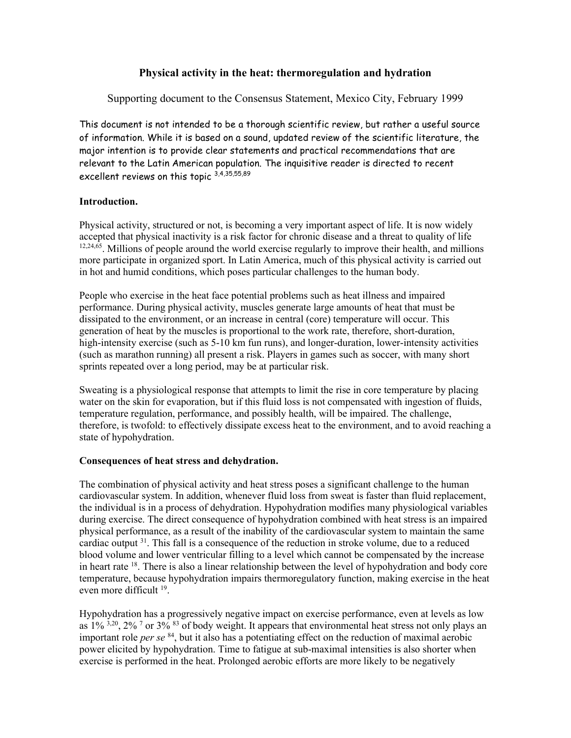# **Physical activity in the heat: thermoregulation and hydration**

Supporting document to the Consensus Statement, Mexico City, February 1999

This document is not intended to be a thorough scientific review, but rather a useful source of information. While it is based on a sound, updated review of the scientific literature, the major intention is to provide clear statements and practical recommendations that are relevant to the Latin American population. The inquisitive reader is directed to recent excellent reviews on this topic 3,4,35,55,89

## **Introduction.**

Physical activity, structured or not, is becoming a very important aspect of life. It is now widely accepted that physical inactivity is a risk factor for chronic disease and a threat to quality of life  $12,24,65$ . Millions of people around the world exercise regularly to improve their health, and millions more participate in organized sport. In Latin America, much of this physical activity is carried out in hot and humid conditions, which poses particular challenges to the human body.

People who exercise in the heat face potential problems such as heat illness and impaired performance. During physical activity, muscles generate large amounts of heat that must be dissipated to the environment, or an increase in central (core) temperature will occur. This generation of heat by the muscles is proportional to the work rate, therefore, short-duration, high-intensity exercise (such as 5-10 km fun runs), and longer-duration, lower-intensity activities (such as marathon running) all present a risk. Players in games such as soccer, with many short sprints repeated over a long period, may be at particular risk.

Sweating is a physiological response that attempts to limit the rise in core temperature by placing water on the skin for evaporation, but if this fluid loss is not compensated with ingestion of fluids, temperature regulation, performance, and possibly health, will be impaired. The challenge, therefore, is twofold: to effectively dissipate excess heat to the environment, and to avoid reaching a state of hypohydration.

## **Consequences of heat stress and dehydration.**

The combination of physical activity and heat stress poses a significant challenge to the human cardiovascular system. In addition, whenever fluid loss from sweat is faster than fluid replacement, the individual is in a process of dehydration. Hypohydration modifies many physiological variables during exercise. The direct consequence of hypohydration combined with heat stress is an impaired physical performance, as a result of the inability of the cardiovascular system to maintain the same cardiac output  $31$ . This fall is a consequence of the reduction in stroke volume, due to a reduced blood volume and lower ventricular filling to a level which cannot be compensated by the increase in heart rate  $^{18}$ . There is also a linear relationship between the level of hypohydration and body core temperature, because hypohydration impairs thermoregulatory function, making exercise in the heat even more difficult 19.

Hypohydration has a progressively negative impact on exercise performance, even at levels as low as  $1\%$ <sup>3,20</sup>, 2%<sup>7</sup> or 3%<sup>83</sup> of body weight. It appears that environmental heat stress not only plays an important role *per se* 84, but it also has a potentiating effect on the reduction of maximal aerobic power elicited by hypohydration. Time to fatigue at sub-maximal intensities is also shorter when exercise is performed in the heat. Prolonged aerobic efforts are more likely to be negatively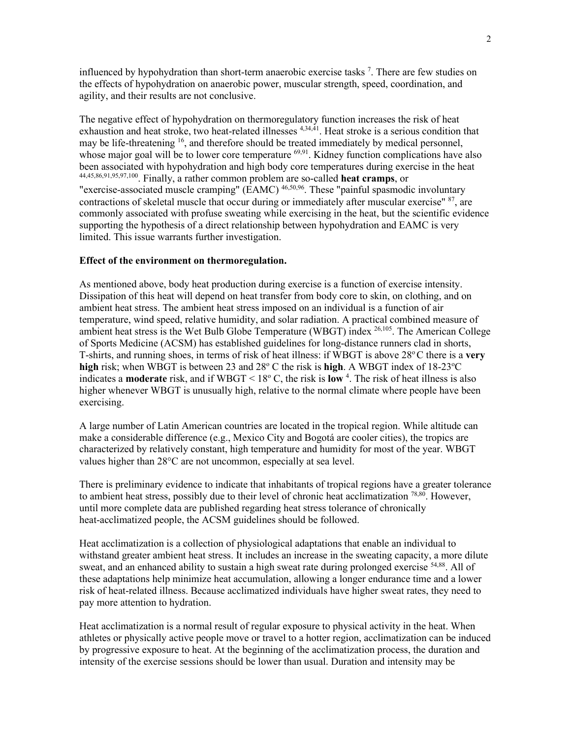influenced by hypohydration than short-term anaerobic exercise tasks<sup>7</sup>. There are few studies on the effects of hypohydration on anaerobic power, muscular strength, speed, coordination, and agility, and their results are not conclusive.

The negative effect of hypohydration on thermoregulatory function increases the risk of heat exhaustion and heat stroke, two heat-related illnesses <sup>4,34,41</sup>. Heat stroke is a serious condition that may be life-threatening <sup>16</sup>, and therefore should be treated immediately by medical personnel, whose major goal will be to lower core temperature <sup>69,91</sup>. Kidney function complications have also been associated with hypohydration and high body core temperatures during exercise in the heat 44,45,86,91,95,97,100. Finally, a rather common problem are so-called **heat cramps**, or "exercise-associated muscle cramping" (EAMC) 46,50,96. These "painful spasmodic involuntary contractions of skeletal muscle that occur during or immediately after muscular exercise" 87, are commonly associated with profuse sweating while exercising in the heat, but the scientific evidence supporting the hypothesis of a direct relationship between hypohydration and EAMC is very limited. This issue warrants further investigation.

### **Effect of the environment on thermoregulation.**

As mentioned above, body heat production during exercise is a function of exercise intensity. Dissipation of this heat will depend on heat transfer from body core to skin, on clothing, and on ambient heat stress. The ambient heat stress imposed on an individual is a function of air temperature, wind speed, relative humidity, and solar radiation. A practical combined measure of ambient heat stress is the Wet Bulb Globe Temperature (WBGT) index 26,105. The American College of Sports Medicine (ACSM) has established guidelines for long-distance runners clad in shorts, T-shirts, and running shoes, in terms of risk of heat illness: if WBGT is above 28<sup>o</sup>C there is a **very** high risk; when WBGT is between 23 and 28° C the risk is high. A WBGT index of 18-23°C indicates a **moderate** risk, and if WBGT < 18o C, the risk is **low** <sup>4</sup> . The risk of heat illness is also higher whenever WBGT is unusually high, relative to the normal climate where people have been exercising.

A large number of Latin American countries are located in the tropical region. While altitude can make a considerable difference (e.g., Mexico City and Bogotá are cooler cities), the tropics are characterized by relatively constant, high temperature and humidity for most of the year. WBGT values higher than 28°C are not uncommon, especially at sea level.

There is preliminary evidence to indicate that inhabitants of tropical regions have a greater tolerance to ambient heat stress, possibly due to their level of chronic heat acclimatization  $^{78,80}$ . However, until more complete data are published regarding heat stress tolerance of chronically heat-acclimatized people, the ACSM guidelines should be followed.

Heat acclimatization is a collection of physiological adaptations that enable an individual to withstand greater ambient heat stress. It includes an increase in the sweating capacity, a more dilute sweat, and an enhanced ability to sustain a high sweat rate during prolonged exercise <sup>54,88</sup>. All of these adaptations help minimize heat accumulation, allowing a longer endurance time and a lower risk of heat-related illness. Because acclimatized individuals have higher sweat rates, they need to pay more attention to hydration.

Heat acclimatization is a normal result of regular exposure to physical activity in the heat. When athletes or physically active people move or travel to a hotter region, acclimatization can be induced by progressive exposure to heat. At the beginning of the acclimatization process, the duration and intensity of the exercise sessions should be lower than usual. Duration and intensity may be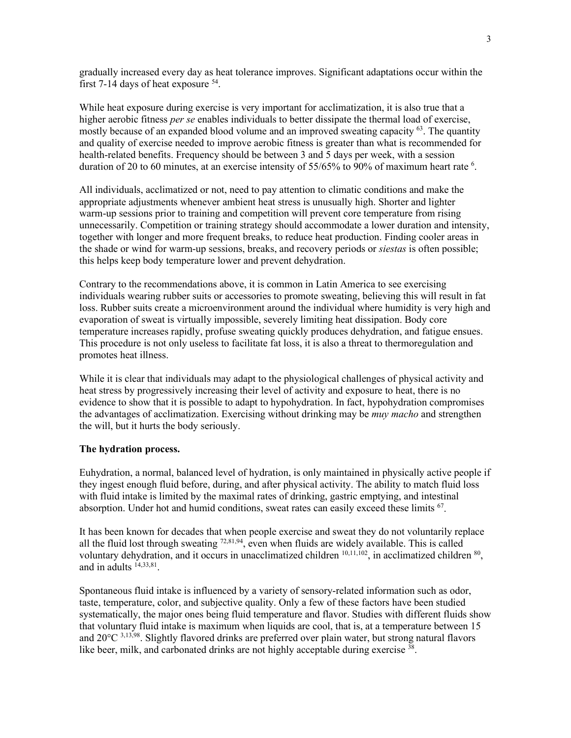gradually increased every day as heat tolerance improves. Significant adaptations occur within the first 7-14 days of heat exposure  $54$ .

While heat exposure during exercise is very important for acclimatization, it is also true that a higher aerobic fitness *per se* enables individuals to better dissipate the thermal load of exercise, mostly because of an expanded blood volume and an improved sweating capacity  $^{63}$ . The quantity and quality of exercise needed to improve aerobic fitness is greater than what is recommended for health-related benefits. Frequency should be between 3 and 5 days per week, with a session duration of 20 to 60 minutes, at an exercise intensity of 55/65% to 90% of maximum heart rate <sup>6</sup>.

All individuals, acclimatized or not, need to pay attention to climatic conditions and make the appropriate adjustments whenever ambient heat stress is unusually high. Shorter and lighter warm-up sessions prior to training and competition will prevent core temperature from rising unnecessarily. Competition or training strategy should accommodate a lower duration and intensity, together with longer and more frequent breaks, to reduce heat production. Finding cooler areas in the shade or wind for warm-up sessions, breaks, and recovery periods or *siestas* is often possible; this helps keep body temperature lower and prevent dehydration.

Contrary to the recommendations above, it is common in Latin America to see exercising individuals wearing rubber suits or accessories to promote sweating, believing this will result in fat loss. Rubber suits create a microenvironment around the individual where humidity is very high and evaporation of sweat is virtually impossible, severely limiting heat dissipation. Body core temperature increases rapidly, profuse sweating quickly produces dehydration, and fatigue ensues. This procedure is not only useless to facilitate fat loss, it is also a threat to thermoregulation and promotes heat illness.

While it is clear that individuals may adapt to the physiological challenges of physical activity and heat stress by progressively increasing their level of activity and exposure to heat, there is no evidence to show that it is possible to adapt to hypohydration. In fact, hypohydration compromises the advantages of acclimatization. Exercising without drinking may be *muy macho* and strengthen the will, but it hurts the body seriously.

### **The hydration process.**

Euhydration, a normal, balanced level of hydration, is only maintained in physically active people if they ingest enough fluid before, during, and after physical activity. The ability to match fluid loss with fluid intake is limited by the maximal rates of drinking, gastric emptying, and intestinal absorption. Under hot and humid conditions, sweat rates can easily exceed these limits 67.

It has been known for decades that when people exercise and sweat they do not voluntarily replace all the fluid lost through sweating <sup>72,81,94</sup>, even when fluids are widely available. This is called voluntary dehydration, and it occurs in unacclimatized children  $10,11,102$ , in acclimatized children  $80$ , and in adults  $14,33,81$ .

Spontaneous fluid intake is influenced by a variety of sensory-related information such as odor, taste, temperature, color, and subjective quality. Only a few of these factors have been studied systematically, the major ones being fluid temperature and flavor. Studies with different fluids show that voluntary fluid intake is maximum when liquids are cool, that is, at a temperature between 15 and 20°C 3,13,98. Slightly flavored drinks are preferred over plain water, but strong natural flavors like beer, milk, and carbonated drinks are not highly acceptable during exercise <sup>38</sup>.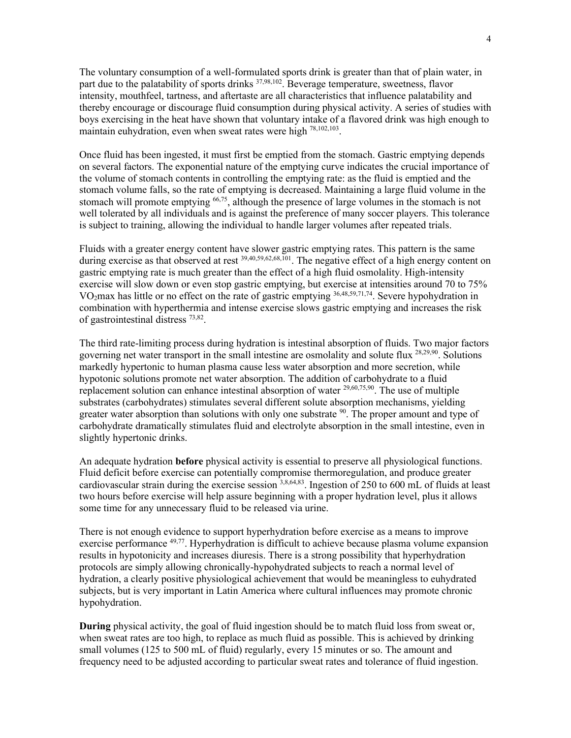The voluntary consumption of a well-formulated sports drink is greater than that of plain water, in part due to the palatability of sports drinks <sup>37,98,102</sup>. Beverage temperature, sweetness, flavor intensity, mouthfeel, tartness, and aftertaste are all characteristics that influence palatability and thereby encourage or discourage fluid consumption during physical activity. A series of studies with boys exercising in the heat have shown that voluntary intake of a flavored drink was high enough to maintain euhydration, even when sweat rates were high 78,102,103.

Once fluid has been ingested, it must first be emptied from the stomach. Gastric emptying depends on several factors. The exponential nature of the emptying curve indicates the crucial importance of the volume of stomach contents in controlling the emptying rate: as the fluid is emptied and the stomach volume falls, so the rate of emptying is decreased. Maintaining a large fluid volume in the stomach will promote emptying <sup>66,75</sup>, although the presence of large volumes in the stomach is not well tolerated by all individuals and is against the preference of many soccer players. This tolerance is subject to training, allowing the individual to handle larger volumes after repeated trials.

Fluids with a greater energy content have slower gastric emptying rates. This pattern is the same during exercise as that observed at rest <sup>39,40,59,62,68,101</sup>. The negative effect of a high energy content on gastric emptying rate is much greater than the effect of a high fluid osmolality. High-intensity exercise will slow down or even stop gastric emptying, but exercise at intensities around 70 to 75% VO2max has little or no effect on the rate of gastric emptying 36,48,59,71,74. Severe hypohydration in combination with hyperthermia and intense exercise slows gastric emptying and increases the risk of gastrointestinal distress 73,82.

The third rate-limiting process during hydration is intestinal absorption of fluids. Two major factors governing net water transport in the small intestine are osmolality and solute flux 28,29,90. Solutions markedly hypertonic to human plasma cause less water absorption and more secretion, while hypotonic solutions promote net water absorption. The addition of carbohydrate to a fluid replacement solution can enhance intestinal absorption of water  $^{29,60,75,90}$ . The use of multiple substrates (carbohydrates) stimulates several different solute absorption mechanisms, yielding greater water absorption than solutions with only one substrate  $\frac{90}{10}$ . The proper amount and type of carbohydrate dramatically stimulates fluid and electrolyte absorption in the small intestine, even in slightly hypertonic drinks.

An adequate hydration **before** physical activity is essential to preserve all physiological functions. Fluid deficit before exercise can potentially compromise thermoregulation, and produce greater cardiovascular strain during the exercise session  $3,8,64,83$ . Ingestion of 250 to 600 mL of fluids at least two hours before exercise will help assure beginning with a proper hydration level, plus it allows some time for any unnecessary fluid to be released via urine.

There is not enough evidence to support hyperhydration before exercise as a means to improve exercise performance <sup>49,77</sup>. Hyperhydration is difficult to achieve because plasma volume expansion results in hypotonicity and increases diuresis. There is a strong possibility that hyperhydration protocols are simply allowing chronically-hypohydrated subjects to reach a normal level of hydration, a clearly positive physiological achievement that would be meaningless to euhydrated subjects, but is very important in Latin America where cultural influences may promote chronic hypohydration.

**During** physical activity, the goal of fluid ingestion should be to match fluid loss from sweat or, when sweat rates are too high, to replace as much fluid as possible. This is achieved by drinking small volumes (125 to 500 mL of fluid) regularly, every 15 minutes or so. The amount and frequency need to be adjusted according to particular sweat rates and tolerance of fluid ingestion.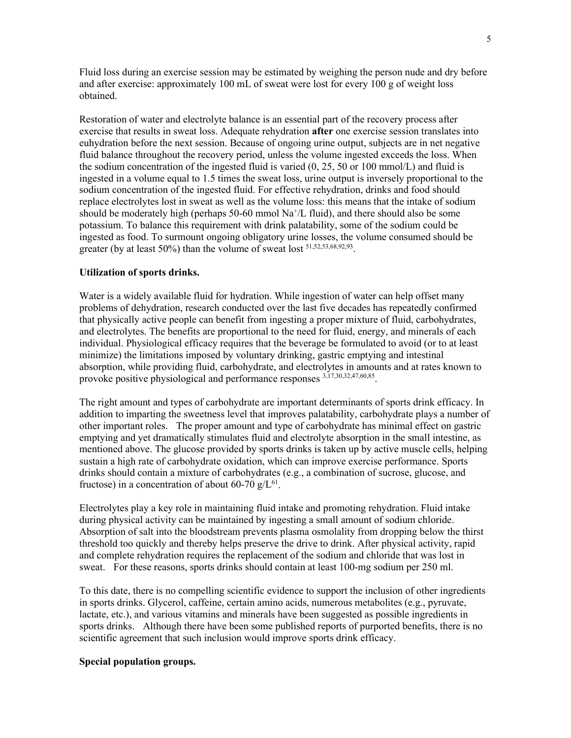Fluid loss during an exercise session may be estimated by weighing the person nude and dry before and after exercise: approximately 100 mL of sweat were lost for every 100 g of weight loss obtained.

Restoration of water and electrolyte balance is an essential part of the recovery process after exercise that results in sweat loss. Adequate rehydration **after** one exercise session translates into euhydration before the next session. Because of ongoing urine output, subjects are in net negative fluid balance throughout the recovery period, unless the volume ingested exceeds the loss. When the sodium concentration of the ingested fluid is varied (0, 25, 50 or 100 mmol/L) and fluid is ingested in a volume equal to 1.5 times the sweat loss, urine output is inversely proportional to the sodium concentration of the ingested fluid. For effective rehydration, drinks and food should replace electrolytes lost in sweat as well as the volume loss: this means that the intake of sodium should be moderately high (perhaps 50-60 mmol  $\text{Na}^+\text{/L}$  fluid), and there should also be some potassium. To balance this requirement with drink palatability, some of the sodium could be ingested as food. To surmount ongoing obligatory urine losses, the volume consumed should be greater (by at least 50%) than the volume of sweat lost <sup>51,52,53,68,92,93</sup>.

### **Utilization of sports drinks.**

Water is a widely available fluid for hydration. While ingestion of water can help offset many problems of dehydration, research conducted over the last five decades has repeatedly confirmed that physically active people can benefit from ingesting a proper mixture of fluid, carbohydrates, and electrolytes. The benefits are proportional to the need for fluid, energy, and minerals of each individual. Physiological efficacy requires that the beverage be formulated to avoid (or to at least minimize) the limitations imposed by voluntary drinking, gastric emptying and intestinal absorption, while providing fluid, carbohydrate, and electrolytes in amounts and at rates known to provoke positive physiological and performance responses 3,17,30,32,47,60,85.

The right amount and types of carbohydrate are important determinants of sports drink efficacy. In addition to imparting the sweetness level that improves palatability, carbohydrate plays a number of other important roles. The proper amount and type of carbohydrate has minimal effect on gastric emptying and yet dramatically stimulates fluid and electrolyte absorption in the small intestine, as mentioned above. The glucose provided by sports drinks is taken up by active muscle cells, helping sustain a high rate of carbohydrate oxidation, which can improve exercise performance. Sports drinks should contain a mixture of carbohydrates (e.g., a combination of sucrose, glucose, and fructose) in a concentration of about 60-70  $g/L^{61}$ .

Electrolytes play a key role in maintaining fluid intake and promoting rehydration. Fluid intake during physical activity can be maintained by ingesting a small amount of sodium chloride. Absorption of salt into the bloodstream prevents plasma osmolality from dropping below the thirst threshold too quickly and thereby helps preserve the drive to drink. After physical activity, rapid and complete rehydration requires the replacement of the sodium and chloride that was lost in sweat. For these reasons, sports drinks should contain at least 100-mg sodium per 250 ml.

To this date, there is no compelling scientific evidence to support the inclusion of other ingredients in sports drinks. Glycerol, caffeine, certain amino acids, numerous metabolites (e.g., pyruvate, lactate, etc.), and various vitamins and minerals have been suggested as possible ingredients in sports drinks. Although there have been some published reports of purported benefits, there is no scientific agreement that such inclusion would improve sports drink efficacy.

### **Special population groups.**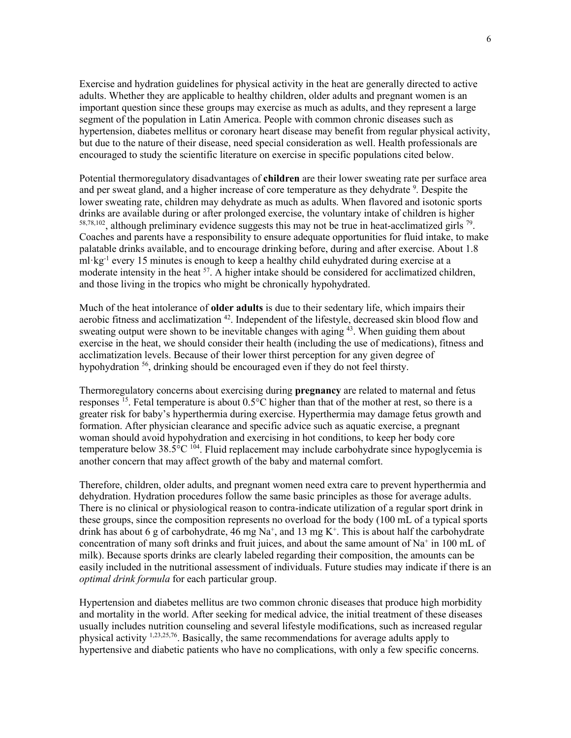Exercise and hydration guidelines for physical activity in the heat are generally directed to active adults. Whether they are applicable to healthy children, older adults and pregnant women is an important question since these groups may exercise as much as adults, and they represent a large segment of the population in Latin America. People with common chronic diseases such as hypertension, diabetes mellitus or coronary heart disease may benefit from regular physical activity, but due to the nature of their disease, need special consideration as well. Health professionals are encouraged to study the scientific literature on exercise in specific populations cited below.

Potential thermoregulatory disadvantages of **children** are their lower sweating rate per surface area and per sweat gland, and a higher increase of core temperature as they dehydrate <sup>9</sup>. Despite the lower sweating rate, children may dehydrate as much as adults. When flavored and isotonic sports drinks are available during or after prolonged exercise, the voluntary intake of children is higher  $58,78,102$ , although preliminary evidence suggests this may not be true in heat-acclimatized girls  $^{79}$ . Coaches and parents have a responsibility to ensure adequate opportunities for fluid intake, to make palatable drinks available, and to encourage drinking before, during and after exercise. About 1.8 ml·kg<sup>-1</sup> every 15 minutes is enough to keep a healthy child euhydrated during exercise at a moderate intensity in the heat 57. A higher intake should be considered for acclimatized children, and those living in the tropics who might be chronically hypohydrated.

Much of the heat intolerance of **older adults** is due to their sedentary life, which impairs their aerobic fitness and acclimatization <sup>42</sup>. Independent of the lifestyle, decreased skin blood flow and sweating output were shown to be inevitable changes with aging <sup>43</sup>. When guiding them about exercise in the heat, we should consider their health (including the use of medications), fitness and acclimatization levels. Because of their lower thirst perception for any given degree of hypohydration 56, drinking should be encouraged even if they do not feel thirsty.

Thermoregulatory concerns about exercising during **pregnancy** are related to maternal and fetus responses <sup>15</sup>. Fetal temperature is about  $0.5^{\circ}$ C higher than that of the mother at rest, so there is a greater risk for baby's hyperthermia during exercise. Hyperthermia may damage fetus growth and formation. After physician clearance and specific advice such as aquatic exercise, a pregnant woman should avoid hypohydration and exercising in hot conditions, to keep her body core temperature below  $38.5^{\circ}C$  <sup>104</sup>. Fluid replacement may include carbohydrate since hypoglycemia is another concern that may affect growth of the baby and maternal comfort.

Therefore, children, older adults, and pregnant women need extra care to prevent hyperthermia and dehydration. Hydration procedures follow the same basic principles as those for average adults. There is no clinical or physiological reason to contra-indicate utilization of a regular sport drink in these groups, since the composition represents no overload for the body (100 mL of a typical sports drink has about 6 g of carbohydrate, 46 mg  $Na^+$ , and 13 mg K<sup>+</sup>. This is about half the carbohydrate concentration of many soft drinks and fruit juices, and about the same amount of  $Na<sup>+</sup>$  in 100 mL of milk). Because sports drinks are clearly labeled regarding their composition, the amounts can be easily included in the nutritional assessment of individuals. Future studies may indicate if there is an *optimal drink formula* for each particular group.

Hypertension and diabetes mellitus are two common chronic diseases that produce high morbidity and mortality in the world. After seeking for medical advice, the initial treatment of these diseases usually includes nutrition counseling and several lifestyle modifications, such as increased regular physical activity 1,23,25,76. Basically, the same recommendations for average adults apply to hypertensive and diabetic patients who have no complications, with only a few specific concerns.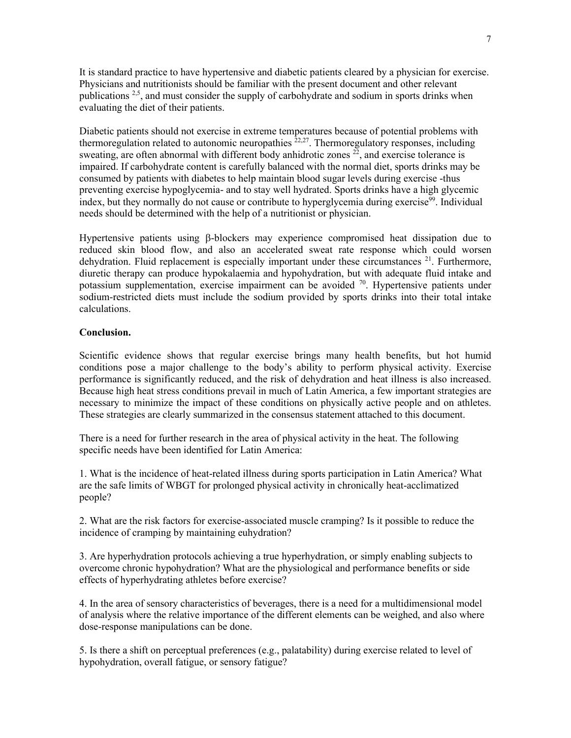It is standard practice to have hypertensive and diabetic patients cleared by a physician for exercise. Physicians and nutritionists should be familiar with the present document and other relevant publications  $2.5$ , and must consider the supply of carbohydrate and sodium in sports drinks when evaluating the diet of their patients.

Diabetic patients should not exercise in extreme temperatures because of potential problems with thermoregulation related to autonomic neuropathies  $22.27$ . Thermoregulatory responses, including sweating, are often abnormal with different body anhidrotic zones  $^{22}$ , and exercise tolerance is impaired. If carbohydrate content is carefully balanced with the normal diet, sports drinks may be consumed by patients with diabetes to help maintain blood sugar levels during exercise -thus preventing exercise hypoglycemia- and to stay well hydrated. Sports drinks have a high glycemic index, but they normally do not cause or contribute to hyperglycemia during exercise<sup>99</sup>. Individual needs should be determined with the help of a nutritionist or physician.

Hypertensive patients using β-blockers may experience compromised heat dissipation due to reduced skin blood flow, and also an accelerated sweat rate response which could worsen dehydration. Fluid replacement is especially important under these circumstances <sup>21</sup>. Furthermore, diuretic therapy can produce hypokalaemia and hypohydration, but with adequate fluid intake and potassium supplementation, exercise impairment can be avoided  $70$ . Hypertensive patients under sodium-restricted diets must include the sodium provided by sports drinks into their total intake calculations.

### **Conclusion.**

Scientific evidence shows that regular exercise brings many health benefits, but hot humid conditions pose a major challenge to the body's ability to perform physical activity. Exercise performance is significantly reduced, and the risk of dehydration and heat illness is also increased. Because high heat stress conditions prevail in much of Latin America, a few important strategies are necessary to minimize the impact of these conditions on physically active people and on athletes. These strategies are clearly summarized in the consensus statement attached to this document.

There is a need for further research in the area of physical activity in the heat. The following specific needs have been identified for Latin America:

1. What is the incidence of heat-related illness during sports participation in Latin America? What are the safe limits of WBGT for prolonged physical activity in chronically heat-acclimatized people?

2. What are the risk factors for exercise-associated muscle cramping? Is it possible to reduce the incidence of cramping by maintaining euhydration?

3. Are hyperhydration protocols achieving a true hyperhydration, or simply enabling subjects to overcome chronic hypohydration? What are the physiological and performance benefits or side effects of hyperhydrating athletes before exercise?

4. In the area of sensory characteristics of beverages, there is a need for a multidimensional model of analysis where the relative importance of the different elements can be weighed, and also where dose-response manipulations can be done.

5. Is there a shift on perceptual preferences (e.g., palatability) during exercise related to level of hypohydration, overall fatigue, or sensory fatigue?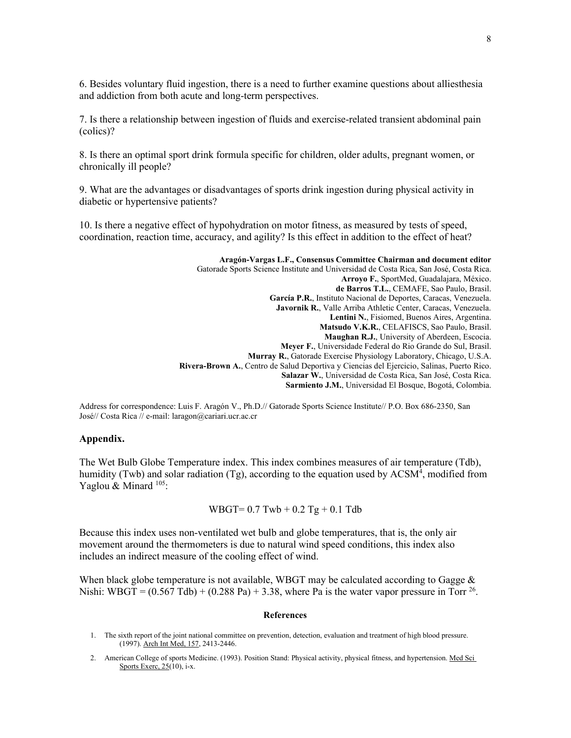6. Besides voluntary fluid ingestion, there is a need to further examine questions about alliesthesia and addiction from both acute and long-term perspectives.

7. Is there a relationship between ingestion of fluids and exercise-related transient abdominal pain (colics)?

8. Is there an optimal sport drink formula specific for children, older adults, pregnant women, or chronically ill people?

9. What are the advantages or disadvantages of sports drink ingestion during physical activity in diabetic or hypertensive patients?

10. Is there a negative effect of hypohydration on motor fitness, as measured by tests of speed, coordination, reaction time, accuracy, and agility? Is this effect in addition to the effect of heat?

> **Aragón-Vargas L.F., Consensus Committee Chairman and document editor** Gatorade Sports Science Institute and Universidad de Costa Rica, San José, Costa Rica. **Arroyo F.**, SportMed, Guadalajara, México. **de Barros T.L.**, CEMAFE, Sao Paulo, Brasil. **García P.R.**, Instituto Nacional de Deportes, Caracas, Venezuela. **Javornik R.**, Valle Arriba Athletic Center, Caracas, Venezuela. **Lentini N.**, Fisiomed, Buenos Aires, Argentina. **Matsudo V.K.R.**, CELAFISCS, Sao Paulo, Brasil. **Maughan R.J.**, University of Aberdeen, Escocia. **Meyer F.**, Universidade Federal do Rio Grande do Sul, Brasil. **Murray R.**, Gatorade Exercise Physiology Laboratory, Chicago, U.S.A. **Rivera-Brown A.**, Centro de Salud Deportiva y Ciencias del Ejercicio, Salinas, Puerto Rico. **Salazar W.**, Universidad de Costa Rica, San José, Costa Rica. **Sarmiento J.M.**, Universidad El Bosque, Bogotá, Colombia.

Address for correspondence: Luis F. Aragón V., Ph.D.// Gatorade Sports Science Institute// P.O. Box 686-2350, San José// Costa Rica // e-mail: laragon@cariari.ucr.ac.cr

#### **Appendix.**

The Wet Bulb Globe Temperature index. This index combines measures of air temperature (Tdb), humidity (Twb) and solar radiation (Tg), according to the equation used by ACSM<sup>4</sup>, modified from Yaglou & Minard  $^{105}$ :

 $WBGT = 0.7$  Twb  $+ 0.2$  Tg  $+ 0.1$  Tdb

Because this index uses non-ventilated wet bulb and globe temperatures, that is, the only air movement around the thermometers is due to natural wind speed conditions, this index also includes an indirect measure of the cooling effect of wind.

When black globe temperature is not available, WBGT may be calculated according to Gagge  $\&$ Nishi: WBGT =  $(0.567 \text{ Tdb}) + (0.288 \text{ Pa}) + 3.38$ , where Pa is the water vapor pressure in Torr <sup>26</sup>.

#### **References**

- 1. The sixth report of the joint national committee on prevention, detection, evaluation and treatment of high blood pressure. (1997). Arch Int Med, 157, 2413-2446.
- 2. American College of sports Medicine. (1993). Position Stand: Physical activity, physical fitness, and hypertension. Med Sci Sports Exerc, 25(10), i-x.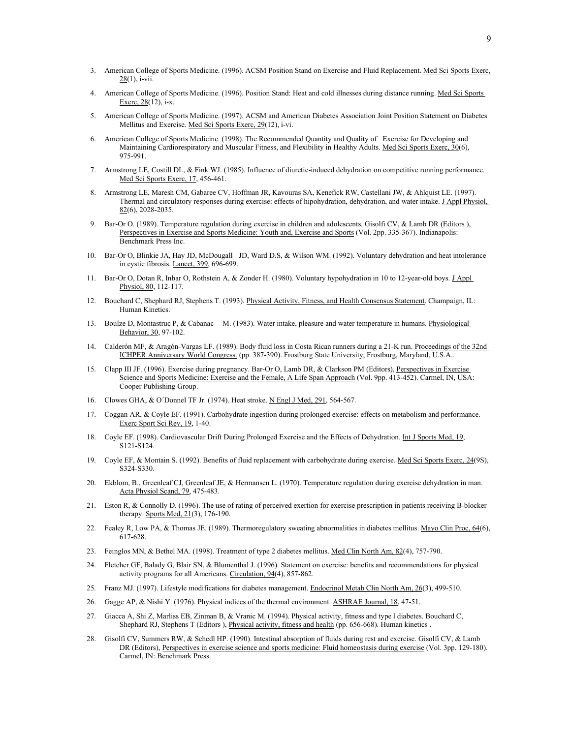- 3. American College of Sports Medicine. (1996). ACSM Position Stand on Exercise and Fluid Replacement. Med Sci Sports Exerc,  $28(1)$ , i-vii.
- 4. American College of Sports Medicine. (1996). Position Stand: Heat and cold illnesses during distance running. Med Sci Sports Exerc, 28(12), i-x.
- 5. American College of Sports Medicine. (1997). ACSM and American Diabetes Association Joint Position Statement on Diabetes Mellitus and Exercise. Med Sci Sports Exerc, 29(12), i-vi.
- 6. American College of Sports Medicine. (1998). The Recommended Quantity and Quality of Exercise for Developing and Maintaining Cardiorespiratory and Muscular Fitness, and Flexibility in Healthy Adults. Med Sci Sports Exerc, 30(6), 975-991.
- 7. Armstrong LE, Costill DL, & Fink WJ. (1985). Influence of diuretic-induced dehydration on competitive running performance. Med Sci Sports Exerc, 17, 456-461.
- 8. Armstrong LE, Maresh CM, Gabaree CV, Hoffman JR, Kavouras SA, Kenefick RW, Castellani JW, & Ahlquist LE. (1997). Thermal and circulatory responses during exercise: effects of hipohydration, dehydration, and water intake. J Appl Physiol,  $82(6)$ , 2028-2035.
- 9. Bar-Or O. (1989). Temperature regulation during exercise in children and adolescents. Gisolfi CV, & Lamb DR (Editors ), Perspectives in Exercise and Sports Medicine: Youth and, Exercise and Sports (Vol. 2pp. 335-367). Indianapolis: Benchmark Press Inc.
- 10. Bar-Or O, Blinkie JA, Hay JD, McDougall JD, Ward D.S, & Wilson WM. (1992). Voluntary dehydration and heat intolerance in cystic fibrosis. Lancet, 399, 696-699.
- 11. Bar-Or O, Dotan R, Inbar O, Rothstein A, & Zonder H. (1980). Voluntary hypohydration in 10 to 12-year-old boys. J Appl Physiol, 80, 112-117.
- 12. Bouchard C, Shephard RJ, Stephens T. (1993). Physical Activity, Fitness, and Health Consensus Statement. Champaign, IL: Human Kinetics.
- 13. Boulze D, Montastruc P, & Cabanac M. (1983). Water intake, pleasure and water temperature in humans. Physiological Behavior, 30, 97-102.
- 14. Calderón MF, & Aragón-Vargas LF. (1989). Body fluid loss in Costa Rican runners during a 21-K run. Proceedings of the 32nd ICHPER Anniversary World Congress. (pp. 387-390). Frostburg State University, Frostburg, Maryland, U.S.A..
- 15. Clapp III JF. (1996). Exercise during pregnancy. Bar-Or O, Lamb DR, & Clarkson PM (Editors), Perspectives in Exercise Science and Sports Medicine: Exercise and the Female, A Life Span Approach (Vol. 9pp. 413-452). Carmel, IN, USA: Cooper Publishing Group.
- 16. Clowes GHA, & O´Donnel TF Jr. (1974). Heat stroke. N Engl J Med, 291, 564-567.
- 17. Coggan AR, & Coyle EF. (1991). Carbohydrate ingestion during prolonged exercise: effects on metabolism and performance. Exerc Sport Sci Rev, 19, 1-40.
- 18. Coyle EF. (1998). Cardiovascular Drift During Prolonged Exercise and the Effects of Dehydration. Int J Sports Med, 19, S121-S124.
- 19. Coyle EF, & Montain S. (1992). Benefits of fluid replacement with carbohydrate during exercise. Med Sci Sports Exerc, 24(9S), S324-S330.
- 20. Ekblom, B., Greenleaf CJ, Greenleaf JE, & Hermansen L. (1970). Temperature regulation during exercise dehydration in man. Acta Physiol Scand, 79, 475-483.
- 21. Eston R, & Connolly D. (1996). The use of rating of perceived exertion for exercise prescription in patients receiving B-blocker therapy. Sports Med, 21(3), 176-190.
- 22. Fealey R, Low PA, & Thomas JE. (1989). Thermoregulatory sweating abnormalities in diabetes mellitus. Mayo Clin Proc, 64(6), 617-628.
- 23. Feinglos MN, & Bethel MA. (1998). Treatment of type 2 diabetes mellitus. Med Clin North Am, 82(4), 757-790.
- 24. Fletcher GF, Balady G, Blair SN, & Blumenthal J. (1996). Statement on exercise: benefits and recommendations for physical activity programs for all Americans. Circulation, 94(4), 857-862.
- 25. Franz MJ. (1997). Lifestyle modifications for diabetes management. Endocrinol Metab Clin North Am, 26(3), 499-510.
- 26. Gagge AP, & Nishi Y. (1976). Physical indices of the thermal environment. ASHRAE Journal, 18, 47-51.
- 27. Giacca A, Shi Z, Marliss EB, Zinman B, & Vranic M. (1994). Physical activity, fitness and type l diabetes. Bouchard C, Shephard RJ, Stephens T (Editors ), *Physical activity*, fitness and health (pp. 656-668). Human kinetics .
- 28. Gisolfi CV, Summers RW, & Schedl HP. (1990). Intestinal absorption of fluids during rest and exercise. Gisolfi CV, & Lamb DR (Editors), Perspectives in exercise science and sports medicine: Fluid homeostasis during exercise (Vol. 3pp. 129-180). Carmel, IN: Benchmark Press.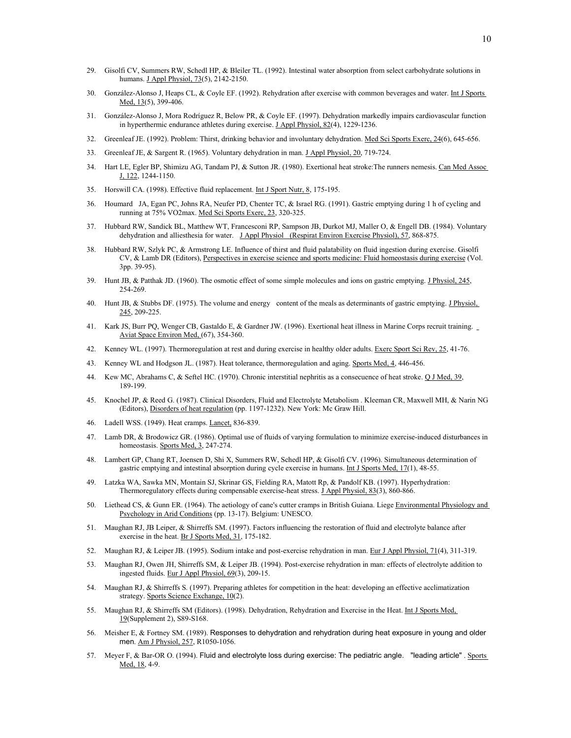- 29. Gisolfi CV, Summers RW, Schedl HP, & Bleiler TL. (1992). Intestinal water absorption from select carbohydrate solutions in humans. J Appl Physiol, 73(5), 2142-2150.
- 30. González-Alonso J, Heaps CL, & Coyle EF. (1992). Rehydration after exercise with common beverages and water. Int J Sports Med, 13(5), 399-406.
- 31. González-Alonso J, Mora Rodríguez R, Below PR, & Coyle EF. (1997). Dehydration markedly impairs cardiovascular function in hyperthermic endurance athletes during exercise. J Appl Physiol, 82(4), 1229-1236.
- 32. Greenleaf JE. (1992). Problem: Thirst, drinking behavior and involuntary dehydration. Med Sci Sports Exerc, 24(6), 645-656.
- 33. Greenleaf JE, & Sargent R. (1965). Voluntary dehydration in man. J Appl Physiol, 20, 719-724.
- 34. Hart LE, Egler BP, Shimizu AG, Tandam PJ, & Sutton JR. (1980). Exertional heat stroke:The runners nemesis. Can Med Assoc J, 122, 1244-1150.
- 35. Horswill CA. (1998). Effective fluid replacement. Int J Sport Nutr, 8, 175-195.
- 36. Houmard JA, Egan PC, Johns RA, Neufer PD, Chenter TC, & Israel RG. (1991). Gastric emptying during 1 h of cycling and running at 75% VO2max. Med Sci Sports Exerc, 23, 320-325.
- 37. Hubbard RW, Sandick BL, Matthew WT, Francesconi RP, Sampson JB, Durkot MJ, Maller O, & Engell DB. (1984). Voluntary dehydration and alliesthesia for water. J Appl Physiol (Respirat Environ Exercise Physiol), 57, 868-875.
- 38. Hubbard RW, Szlyk PC, & Armstrong LE. Influence of thirst and fluid palatability on fluid ingestion during exercise. Gisolfi CV, & Lamb DR (Editors), Perspectives in exercise science and sports medicine: Fluid homeostasis during exercise (Vol. 3pp. 39-95).
- 39. Hunt JB, & Patthak JD. (1960). The osmotic effect of some simple molecules and ions on gastric emptying. J Physiol, 245, 254-269.
- 40. Hunt JB, & Stubbs DF. (1975). The volume and energy content of the meals as determinants of gastric emptying. J Physiol, 245, 209-225.
- 41. Kark JS, Burr PQ, Wenger CB, Gastaldo E, & Gardner JW. (1996). Exertional heat illness in Marine Corps recruit training. Aviat Space Environ Med, (67), 354-360.
- 42. Kenney WL. (1997). Thermoregulation at rest and during exercise in healthy older adults. Exerc Sport Sci Rev, 25, 41-76.
- 43. Kenney WL and Hodgson JL. (1987). Heat tolerance, thermoregulation and aging. Sports Med, 4, 446-456.
- 44. Kew MC, Abrahams C, & Seftel HC. (1970). Chronic interstitial nephritis as a consecuence of heat stroke. Q J Med, 39, 189-199.
- 45. Knochel JP, & Reed G. (1987). Clinical Disorders, Fluid and Electrolyte Metabolism . Kleeman CR, Maxwell MH, & Narin NG (Editors), Disorders of heat regulation (pp. 1197-1232). New York: Mc Graw Hill.
- 46. Ladell WSS. (1949). Heat cramps. Lancet, 836-839.
- 47. Lamb DR, & Brodowicz GR. (1986). Optimal use of fluids of varying formulation to minimize exercise-induced disturbances in homeostasis. Sports Med, 3, 247-274.
- 48. Lambert GP, Chang RT, Joensen D, Shi X, Summers RW, Schedl HP, & Gisolfi CV. (1996). Simultaneous determination of gastric emptying and intestinal absorption during cycle exercise in humans. Int J Sports Med, 17(1), 48-55.
- 49. Latzka WA, Sawka MN, Montain SJ, Skrinar GS, Fielding RA, Matott Rp, & Pandolf KB. (1997). Hyperhydration: Thermoregulatory effects during compensable exercise-heat stress. J Appl Physiol, 83(3), 860-866.
- 50. Liethead CS, & Gunn ER. (1964). The aetiology of cane's cutter cramps in British Guiana. Liege Environmental Physiology and Psychology in Arid Conditions (pp. 13-17). Belgium: UNESCO.
- 51. Maughan RJ, JB Leiper, & Shirreffs SM. (1997). Factors influencing the restoration of fluid and electrolyte balance after exercise in the heat. Br J Sports Med, 31, 175-182.
- 52. Maughan RJ, & Leiper JB. (1995). Sodium intake and post-exercise rehydration in man. Eur J Appl Physiol, 71(4), 311-319.
- 53. Maughan RJ, Owen JH, Shirreffs SM, & Leiper JB. (1994). Post-exercise rehydration in man: effects of electrolyte addition to ingested fluids. Eur J Appl Physiol, 69(3), 209-15.
- 54. Maughan RJ, & Shirreffs S. (1997). Preparing athletes for competition in the heat: developing an effective acclimatization strategy. Sports Science Exchange, 10(2).
- 55. Maughan RJ, & Shirreffs SM (Editors). (1998). Dehydration, Rehydration and Exercise in the Heat. Int J Sports Med, 19(Supplement 2), S89-S168.
- 56. Meisher E, & Fortney SM. (1989). Responses to dehydration and rehydration during heat exposure in young and older men. Am J Physiol, 257, R1050-1056.
- 57. Meyer F, & Bar-OR O. (1994). Fluid and electrolyte loss during exercise: The pediatric angle. "leading article" . Sports Med, 18, 4-9.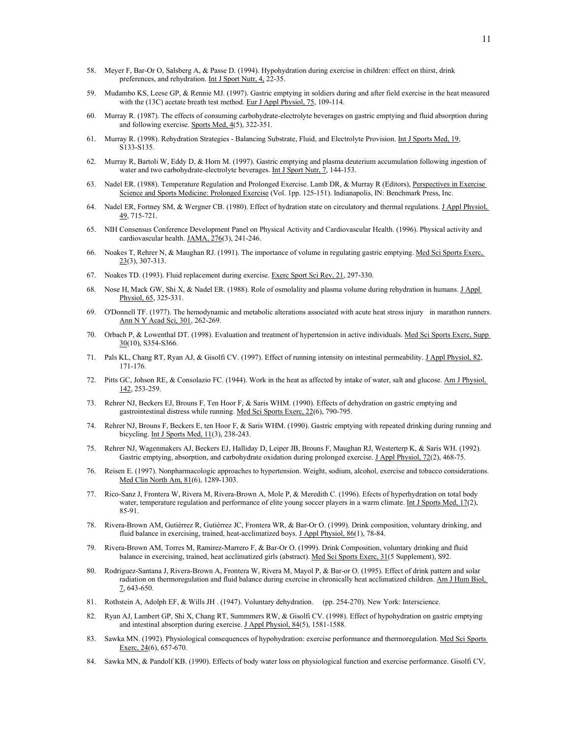- 58. Meyer F, Bar-Or O, Salsberg A, & Passe D. (1994). Hypohydration during exercise in children: effect on thirst, drink preferences, and rehydration. Int J Sport Nutr, 4, 22-35.
- 59. Mudambo KS, Leese GP, & Rennie MJ. (1997). Gastric emptying in soldiers during and after field exercise in the heat measured with the (13C) acetate breath test method. Eur J Appl Physiol, 75, 109-114.
- 60. Murray R. (1987). The effects of consuming carbohydrate-electrolyte beverages on gastric emptying and fluid absorption during and following exercise. Sports Med, 4(5), 322-351.
- 61. Murray R. (1998). Rehydration Strategies Balancing Substrate, Fluid, and Electrolyte Provision. Int J Sports Med, 19, S133-S135.
- 62. Murray R, Bartoli W, Eddy D, & Horn M. (1997). Gastric emptying and plasma deuterium accumulation following ingestion of water and two carbohydrate-electrolyte beverages. Int J Sport Nutr, 7, 144-153.
- 63. Nadel ER. (1988). Temperature Regulation and Prolonged Exercise. Lamb DR, & Murray R (Editors), Perspectives in Exercise Science and Sports Medicine: Prolonged Exercise (Vol. 1pp. 125-151). Indianapolis, IN: Benchmark Press, Inc.
- 64. Nadel ER, Fortney SM, & Wergner CB. (1980). Effect of hydration state on circulatory and thermal regulations. J Appl Physiol, 49, 715-721.
- 65. NIH Consensus Conference Development Panel on Physical Activity and Cardiovascular Health. (1996). Physical activity and cardiovascular health. JAMA, 276(3), 241-246.
- 66. Noakes T, Rehrer N, & Maughan RJ. (1991). The importance of volume in regulating gastric emptying. Med Sci Sports Exerc,  $23(3)$ , 307-313.
- 67. Noakes TD. (1993). Fluid replacement during exercise. Exerc Sport Sci Rev, 21, 297-330.
- 68. Nose H, Mack GW, Shi X, & Nadel ER. (1988). Role of osmolality and plasma volume during rehydration in humans. J Appl Physiol, 65, 325-331.
- 69. O'Donnell TF. (1977). The hemodynamic and metabolic alterations associated with acute heat stress injury in marathon runners. Ann N Y Acad Sci, 301, 262-269.
- 70. Orbach P, & Lowenthal DT. (1998). Evaluation and treatment of hypertension in active individuals. Med Sci Sports Exerc, Supp  $30(10)$ , S354-S366.
- 71. Pals KL, Chang RT, Ryan AJ, & Gisolfi CV. (1997). Effect of running intensity on intestinal permeability. JAppl Physiol, 82, 171-176.
- 72. Pitts GC, Johson RE, & Consolazio FC. (1944). Work in the heat as affected by intake of water, salt and glucose. Am J Physiol, 142, 253-259.
- 73. Rehrer NJ, Beckers EJ, Brouns F, Ten Hoor F, & Saris WHM. (1990). Effects of dehydration on gastric emptying and gastrointestinal distress while running. Med Sci Sports Exerc, 22(6), 790-795.
- 74. Rehrer NJ, Brouns F, Beckers E, ten Hoor F, & Saris WHM. (1990). Gastric emptying with repeated drinking during running and bicycling. Int J Sports Med, 11(3), 238-243.
- 75. Rehrer NJ, Wagenmakers AJ, Beckers EJ, Halliday D, Leiper JB, Brouns F, Maughan RJ, Westerterp K, & Saris WH. (1992). Gastric emptying, absorption, and carbohydrate oxidation during prolonged exercise. J Appl Physiol, 72(2), 468-75.
- 76. Reisen E. (1997). Nonpharmacologic approaches to hypertension. Weight, sodium, alcohol, exercise and tobacco considerations. Med Clin North Am, 81(6), 1289-1303.
- 77. Rico-Sanz J, Frontera W, Rivera M, Rivera-Brown A, Mole P, & Meredith C. (1996). Efects of hyperhydration on total body water, temperature regulation and performance of elite young soccer players in a warm climate. Int J Sports Med, 17(2), 85-91.
- 78. Rivera-Brown AM, Gutiérrez R, Gutiérrez JC, Frontera WR, & Bar-Or O. (1999). Drink composition, voluntary drinking, and fluid balance in exercising, trained, heat-acclimatized boys. J Appl Physiol, 86(1), 78-84.
- 79. Rivera-Brown AM, Torres M, Ramirez-Marrero F, & Bar-Or O. (1999). Drink Composition, voluntary drinking and fluid balance in exercising, trained, heat acclimatized girls (abstract). Med Sci Sports Exerc, 31(5 Supplement), S92.
- 80. Rodriguez-Santana J, Rivera-Brown A, Frontera W, Rivera M, Mayol P, & Bar-or O. (1995). Effect of drink pattern and solar radiation on thermoregulation and fluid balance during exercise in chronically heat acclimatized children. Am J Hum Biol, 7, 643-650.
- 81. Rothstein A, Adolph EF, & Wills JH . (1947). Voluntary dehydration. (pp. 254-270). New York: Interscience.
- 82. Ryan AJ, Lambert GP, Shi X, Chang RT, Summmers RW, & Gisolfi CV. (1998). Effect of hypohydration on gastric emptying and intestinal absorption during exercise. J Appl Physiol, 84(5), 1581-1588.
- 83. Sawka MN. (1992). Physiological consequences of hypohydration: exercise performance and thermoregulation. Med Sci Sports Exerc, 24(6), 657-670.
- 84. Sawka MN, & Pandolf KB. (1990). Effects of body water loss on physiological function and exercise performance. Gisolfi CV,